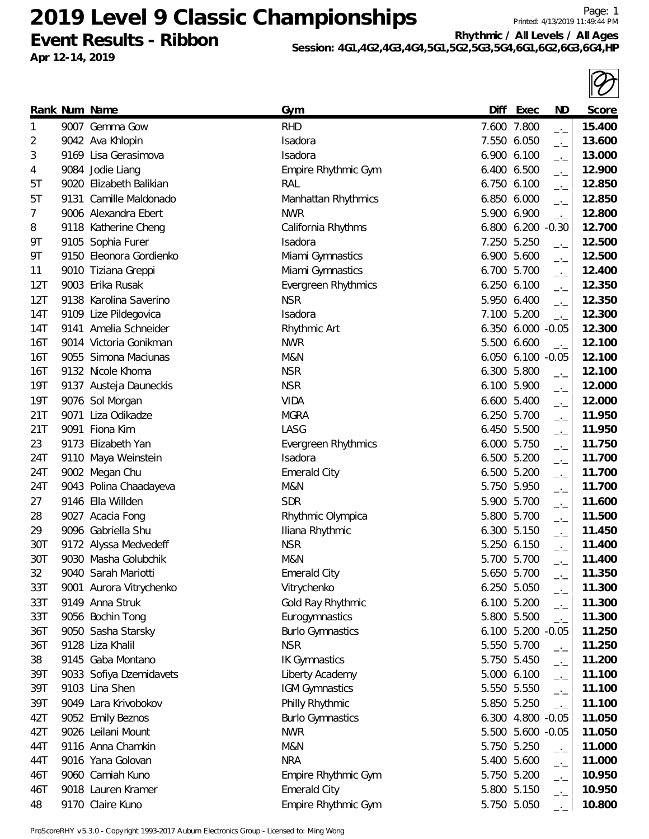**Event Results - Ribbon**

**Apr 12-14, 2019**

**Session: 4G1,4G2,4G3,4G4,5G1,5G2,5G3,5G4,6G1,6G2,6G3,6G4,HP**

|     |                         |                         |             |                   |                             | $\mathbb{I}\mathcal{U}$ |
|-----|-------------------------|-------------------------|-------------|-------------------|-----------------------------|-------------------------|
|     | Rank Num Name           | <u>Gym</u>              | Diff        | Exec              | ND                          | Score                   |
| 1   | 9007 Gemma Gow          | <b>RHD</b>              | 7.600 7.800 |                   | $-1$                        | 15.400                  |
| 2   | 9042 Ava Khlopin        | Isadora                 | 7.550 6.050 |                   | $-1$                        | 13.600                  |
| 3   | 9169 Lisa Gerasimova    | Isadora                 | 6.900 6.100 |                   | $-1$                        | 13.000                  |
| 4   | 9084 Jodie Liang        | Empire Rhythmic Gym     | 6.400 6.500 |                   | $\overline{\phantom{a}}$    | 12.900                  |
| 5Τ  | 9020 Elizabeth Balikian | RAL                     | 6.750 6.100 |                   | $-1$                        | 12.850                  |
| 5Τ  | 9131 Camille Maldonado  | Manhattan Rhythmics     | 6.850 6.000 |                   | $-1$                        | 12.850                  |
| 7   | 9006 Alexandra Ebert    | <b>NWR</b>              | 5.900 6.900 |                   | $\rightarrow$ $\rightarrow$ | 12.800                  |
| 8   | 9118 Katherine Cheng    | California Rhythms      |             | 6.800 6.200 -0.30 |                             | 12.700                  |
| 9Τ  | 9105 Sophia Furer       | Isadora                 | 7.250 5.250 |                   | $-1$                        | 12.500                  |
| 9Τ  | 9150 Eleonora Gordienko | Miami Gymnastics        | 6.900 5.600 |                   | $-1$                        | 12.500                  |
| 11  | 9010 Tiziana Greppi     | Miami Gymnastics        | 6.700 5.700 |                   | $\overline{\phantom{a}}$    | 12.400                  |
| 12T | 9003 Erika Rusak        | Evergreen Rhythmics     | 6.250 6.100 |                   | $ -$                        | 12.350                  |
| 12T | 9138 Karolina Saverino  | <b>NSR</b>              | 5.950 6.400 |                   | $-1$                        | 12.350                  |
| 14T | 9109 Lize Pildegovica   | Isadora                 | 7.100 5.200 |                   | $\rightarrow$               | 12.300                  |
| 14T | 9141 Amelia Schneider   | Rhythmic Art            |             | 6.350 6.000 -0.05 |                             | 12.300                  |
| 16T | 9014 Victoria Gonikman  | <b>NWR</b>              | 5.500 6.600 |                   | $-1$                        | 12.100                  |
| 16T | 9055 Simona Maciunas    | M&N                     |             | 6.050 6.100 -0.05 |                             | 12.100                  |
| 16T | 9132 Nicole Khoma       | <b>NSR</b>              | 6.300 5.800 |                   | $\overline{\phantom{a}}$    | 12.100                  |
| 19T | 9137 Austeja Dauneckis  | <b>NSR</b>              | 6.100 5.900 |                   | $-1$                        | 12.000                  |
| 19T | 9076 Sol Morgan         | <b>VIDA</b>             | 6.600 5.400 |                   | $-$ ' $-$                   | 12.000                  |
| 21T | 9071 Liza Odikadze      | <b>MGRA</b>             | 6.250 5.700 |                   | $-1$                        | 11.950                  |
| 21T | 9091 Fiona Kim          | LASG                    | 6.450 5.500 |                   | $\overline{\phantom{a}}$    | 11.950                  |
| 23  | 9173 Elizabeth Yan      | Evergreen Rhythmics     | 6.000 5.750 |                   | $\overline{\phantom{a}}$    | 11.750                  |
| 24T | 9110 Maya Weinstein     | Isadora                 | 6.500 5.200 |                   | $-$ ' $-$                   | 11.700                  |
| 24T | 9002 Megan Chu          | <b>Emerald City</b>     | 6.500 5.200 |                   | $-1$                        | 11.700                  |
| 24T | 9043 Polina Chaadayeva  | M&N                     | 5.750 5.950 |                   | $\overline{\phantom{a}}$    | 11.700                  |
| 27  | 9146 Ella Willden       | <b>SDR</b>              | 5.900 5.700 |                   | $-1$                        | 11.600                  |
| 28  | 9027 Acacia Fong        | Rhythmic Olympica       | 5.800 5.700 |                   | $-1$                        | 11.500                  |
| 29  | 9096 Gabriella Shu      | Iliana Rhythmic         | 6.300 5.150 |                   | $-1$                        | 11.450                  |
| 30T | 9172 Alyssa Medvedeff   | <b>NSR</b>              | 5.250 6.150 |                   | $-1$                        | 11.400                  |
| 30T | 9030 Masha Golubchik    | M&N                     | 5.700 5.700 |                   |                             | 11.400                  |
| 32  | 9040 Sarah Mariotti     | <b>Emerald City</b>     | 5.650 5.700 |                   | $-1$                        | 11.350                  |
| 33T | 9001 Aurora Vitrychenko | Vitrychenko             | 6.250 5.050 |                   | $\overline{\phantom{a}}$    | 11.300                  |
| 33T | 9149 Anna Struk         | Gold Ray Rhythmic       | 6.100 5.200 |                   | $\overline{\phantom{a}}$    | 11.300                  |
| 33T | 9056 Bochin Tong        | Eurogymnastics          | 5.800 5.500 |                   | $-1$                        | 11.300                  |
| 36T | 9050 Sasha Starsky      | <b>Burlo Gymnastics</b> |             | 6.100 5.200 -0.05 |                             | 11.250                  |
| 36T | 9128 Liza Khalil        | <b>NSR</b>              | 5.550 5.700 |                   | $\rightarrow$ $\rightarrow$ | 11.250                  |
| 38  | 9145 Gaba Montano       | <b>IK Gymnastics</b>    | 5.750 5.450 |                   | $\overline{\phantom{a}}$    | 11.200                  |
| 39T | 9033 Sofiya Dzemidavets | Liberty Academy         | 5.000 6.100 |                   |                             | 11.100                  |
| 39T | 9103 Lina Shen          | IGM Gymnastics          | 5.550 5.550 |                   | $-1$                        | 11.100                  |
| 39T | 9049 Lara Krivobokov    | Philly Rhythmic         | 5.850 5.250 |                   | $\overline{\phantom{a}}$    | 11.100                  |
| 42T | 9052 Emily Beznos       | <b>Burlo Gymnastics</b> |             | 6.300 4.800       | $-1$<br>$-0.05$             | 11.050                  |
| 42T | 9026 Leilani Mount      | <b>NWR</b>              |             | 5.500 5.600 -0.05 |                             | 11.050                  |
| 44T | 9116 Anna Chamkin       | M&N                     | 5.750 5.250 |                   |                             | 11.000                  |
| 44T | 9016 Yana Golovan       | <b>NRA</b>              | 5.400 5.600 |                   | $\rightarrow$               | 11.000                  |
| 46T | 9060 Camiah Kuno        | Empire Rhythmic Gym     | 5.750 5.200 |                   | $\overline{\phantom{a}}$    | 10.950                  |
| 46T | 9018 Lauren Kramer      | <b>Emerald City</b>     | 5.800 5.150 |                   | $ -$                        | 10.950                  |
|     |                         |                         |             |                   | $-$ ' $-$                   |                         |
| 48  | 9170 Claire Kuno        | Empire Rhythmic Gym     | 5.750 5.050 |                   |                             | 10.800                  |

ProScoreRHY v5.3.0 - Copyright 1993-2017 Auburn Electronics Group - Licensed to: Ming Wong

Page: 1 Printed: 4/13/2019 11:49:44 PM

 $\overline{\mathcal{D}}$ 

**Rhythmic / All Levels / All Ages**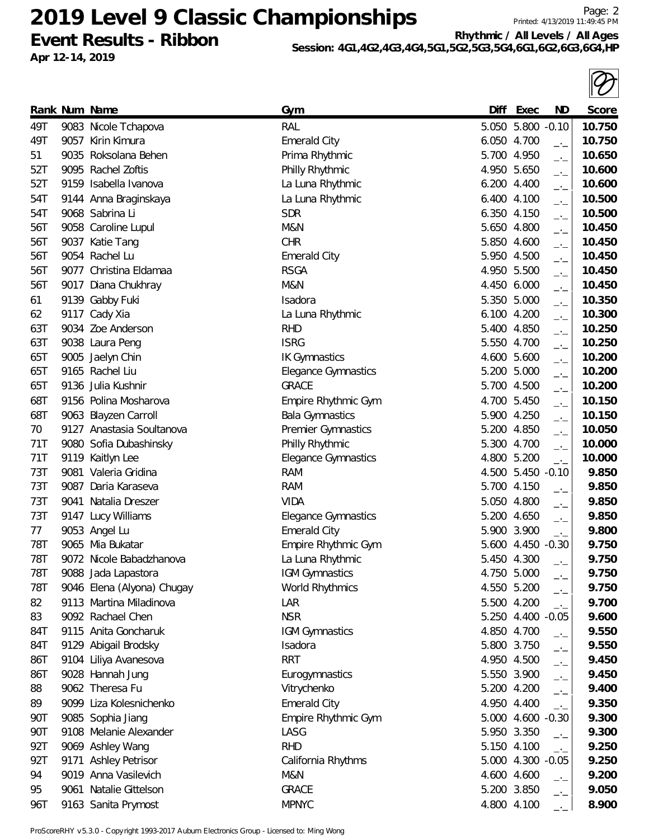**Event Results - Ribbon Apr 12-14, 2019**

**Rhythmic / All Levels / All Ages**

Page: 2 Printed: 4/13/2019 11:49:45 PM

| 49T | 9057 Kirin Kimura          | <b>Emerald City</b>        | 6.050 4.700       | $-$ ' $-$                | 10.750 |
|-----|----------------------------|----------------------------|-------------------|--------------------------|--------|
| 51  | 9035 Roksolana Behen       | Prima Rhythmic             | 5.700 4.950       | $-1$                     | 10.650 |
| 52T | 9095 Rachel Zoftis         | Philly Rhythmic            | 4.950 5.650       | $\overline{\phantom{a}}$ | 10.600 |
| 52T | 9159 Isabella Ivanova      | La Luna Rhythmic           | 6.200 4.400       | $\overline{\phantom{a}}$ | 10.600 |
| 54T | 9144 Anna Braginskaya      | La Luna Rhythmic           | 6.400<br>4.100    | $-1$                     | 10.500 |
| 54T | 9068 Sabrina Li            | <b>SDR</b>                 | 6.350 4.150       | $-1$                     | 10.500 |
| 56T | 9058 Caroline Lupul        | M&N                        | 5.650 4.800       | $-1$                     | 10.450 |
| 56T | 9037 Katie Tang            | <b>CHR</b>                 | 5.850 4.600       | $ -$                     | 10.450 |
| 56T | 9054 Rachel Lu             | <b>Emerald City</b>        | 5.950 4.500       | $ -$                     | 10.450 |
| 56T | 9077 Christina Eldamaa     | <b>RSGA</b>                | 4.950 5.500       | $\overline{\phantom{a}}$ | 10.450 |
| 56T | 9017 Diana Chukhray        | M&N                        | 4.450 6.000       | $\overline{\phantom{a}}$ | 10.450 |
| 61  | 9139 Gabby Fuki            | Isadora                    | 5.350 5.000       | $-1$                     | 10.350 |
| 62  | 9117 Cady Xia              | La Luna Rhythmic           | 6.100 4.200       | $\overline{\phantom{a}}$ | 10.300 |
| 63T | 9034 Zoe Anderson          | <b>RHD</b>                 | 5.400 4.850       | $\overline{\phantom{a}}$ | 10.250 |
| 63T | 9038 Laura Peng            | <b>ISRG</b>                | 5.550 4.700       | $-1$                     | 10.250 |
| 65T | 9005 Jaelyn Chin           | <b>IK Gymnastics</b>       | 4.600 5.600       | $-1$                     | 10.200 |
| 65T | 9165 Rachel Liu            | <b>Elegance Gymnastics</b> | 5.200 5.000       | $\overline{\phantom{a}}$ | 10.200 |
| 65T | 9136 Julia Kushnir         | <b>GRACE</b>               | 5.700 4.500       | $\overline{\phantom{a}}$ | 10.200 |
| 68T | 9156 Polina Mosharova      | Empire Rhythmic Gym        | 4.700 5.450       | $-1$                     | 10.150 |
| 68T | 9063 Blayzen Carroll       | <b>Bala Gymnastics</b>     | 5.900 4.250       | $-1$                     | 10.150 |
| 70  | 9127 Anastasia Soultanova  | Premier Gymnastics         | 5.200 4.850       | $\overline{\phantom{a}}$ | 10.050 |
| 71T | 9080 Sofia Dubashinsky     | Philly Rhythmic            | 5.300 4.700       | $\overline{\phantom{a}}$ | 10.000 |
| 71T | 9119 Kaitlyn Lee           | Elegance Gymnastics        | 4.800 5.200       | $-1$                     | 10.000 |
| 73T | 9081 Valeria Gridina       | <b>RAM</b>                 | 4.500 5.450 -0.10 |                          | 9.850  |
| 73T | 9087 Daria Karaseva        | <b>RAM</b>                 | 5.700 4.150       | $\overline{\phantom{a}}$ | 9.850  |
| 73T | 9041 Natalia Dreszer       | <b>VIDA</b>                | 5.050 4.800       | $ -$                     | 9.850  |
| 73T | 9147 Lucy Williams         | <b>Elegance Gymnastics</b> | 5.200 4.650       | $-1$                     | 9.850  |
| 77  | 9053 Angel Lu              | <b>Emerald City</b>        | 5.900 3.900       | $-1$                     | 9.800  |
| 78T | 9065 Mia Bukatar           | Empire Rhythmic Gym        | 5.600 4.450 -0.30 |                          | 9.750  |
| 78T | 9072 Nicole Babadzhanova   | La Luna Rhythmic           | 5.450 4.300       | $ -$                     | 9.750  |
| 78T | 9088 Jada Lapastora        | IGM Gymnastics             | 4.750 5.000       | $ -$                     | 9.750  |
| 78T | 9046 Elena (Alyona) Chugay | World Rhythmics            | 4.550 5.200       | $-1$                     | 9.750  |
| 82  | 9113 Martina Miladinova    | LAR                        | 5.500 4.200       | $-1$                     | 9.700  |
| 83  | 9092 Rachael Chen          | <b>NSR</b>                 | 5.250 4.400 -0.05 |                          | 9.600  |
| 84T | 9115 Anita Goncharuk       | <b>IGM Gymnastics</b>      | 4.850 4.700       | $-1$                     | 9.550  |
| 84T | 9129 Abigail Brodsky       | Isadora                    | 5.800 3.750       | $-1$                     | 9.550  |
| 86T | 9104 Liliya Avanesova      | <b>RRT</b>                 | 4.950 4.500       | $-1$                     | 9.450  |
| 86T | 9028 Hannah Jung           | Eurogymnastics             | 5.550 3.900       | $ -$                     | 9.450  |
| 88  | 9062 Theresa Fu            | Vitrychenko                | 5.200 4.200       | $-1$                     | 9.400  |
| 89  | 9099 Liza Kolesnichenko    | <b>Emerald City</b>        | 4.950 4.400       | $\overline{\phantom{a}}$ | 9.350  |
| 90T | 9085 Sophia Jiang          | Empire Rhythmic Gym        | 5.000 4.600 -0.30 |                          | 9.300  |
| 90T | 9108 Melanie Alexander     | LASG                       | 5.950 3.350       | $-1$                     | 9.300  |
| 92T | 9069 Ashley Wang           | <b>RHD</b>                 | 5.150 4.100       | $\overline{\phantom{a}}$ | 9.250  |
| 92T | 9171 Ashley Petrisor       | California Rhythms         | 5.000 4.300 -0.05 |                          | 9.250  |
| 94  | 9019 Anna Vasilevich       | M&N                        | 4.600 4.600       | $-1$                     | 9.200  |
| 95  | 9061 Natalie Gittelson     | <b>GRACE</b>               | 5.200 3.850       | $-1$                     | 9.050  |
| 96T | 9163 Sanita Prymost        | <b>MPNYC</b>               | 4.800 4.100       | $-1$                     | 8.900  |
|     |                            |                            |                   |                          |        |

**Rank Num Name Gym Diff Exec ND Score** 49T 9083 Nicole Tchapova RAL 5.050 5.800 -0.10 **10.750**

**Session: 4G1,4G2,4G3,4G4,5G1,5G2,5G3,5G4,6G1,6G2,6G3,6G4,HP**

ProScoreRHY v5.3.0 - Copyright 1993-2017 Auburn Electronics Group - Licensed to: Ming Wong

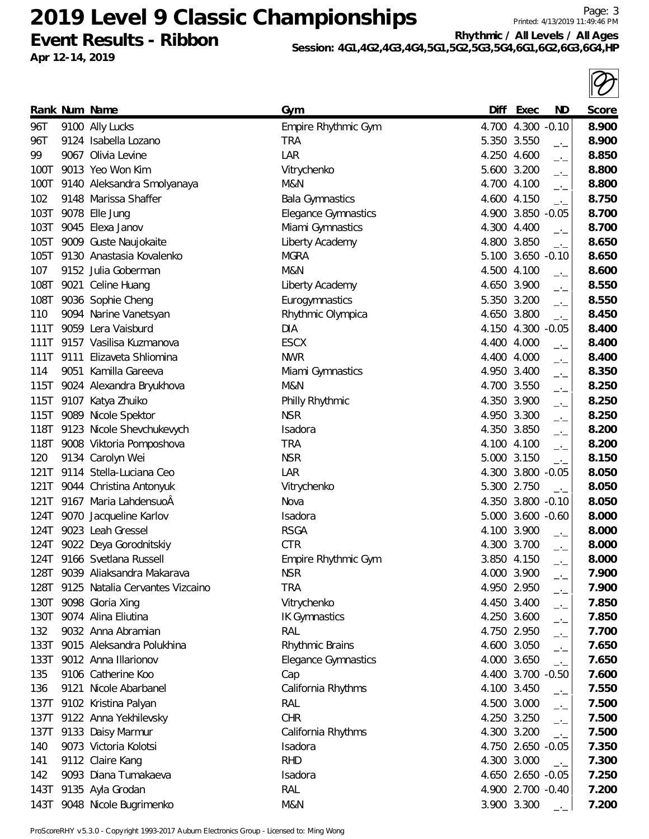**Event Results - Ribbon Apr 12-14, 2019**

Page: 3 Printed: 4/13/2019 11:49:46 PM

**Rhythmic / All Levels / All Ages Session: 4G1,4G2,4G3,4G4,5G1,5G2,5G3,5G4,6G1,6G2,6G3,6G4,HP**

|      |                                      |                            |       |                                         | $\boldsymbol{\mathcal{U}}$ |
|------|--------------------------------------|----------------------------|-------|-----------------------------------------|----------------------------|
|      | Rank Num Name                        | Gym                        | Diff  | Exec<br><b>ND</b>                       | Score                      |
| 96T  | 9100 Ally Lucks                      | Empire Rhythmic Gym        |       | 4.700 4.300 -0.10                       | 8.900                      |
| 96T  | 9124 Isabella Lozano                 | <b>TRA</b>                 |       | 5.350 3.550<br>$\rightarrow$            | 8.900                      |
| 99   | 9067 Olivia Levine                   | LAR                        |       | 4.250 4.600<br>$-1$                     | 8.850                      |
| 100T | 9013 Yeo Won Kim                     | Vitrychenko                | 5.600 | 3.200<br>$-1$                           | 8.800                      |
| 100T | 9140 Aleksandra Smolyanaya           | M&N                        |       | 4.700 4.100<br>$-$                      | 8.800                      |
| 102  | 9148 Marissa Shaffer                 | <b>Bala Gymnastics</b>     |       | 4.600 4.150<br>$-1$                     | 8.750                      |
| 103T | 9078 Elle Jung                       | <b>Elegance Gymnastics</b> |       | 4.900 3.850 -0.05                       | 8.700                      |
| 103T | 9045 Elexa Janov                     | Miami Gymnastics           |       | 4.300 4.400<br>$-1$                     | 8.700                      |
| 105T | 9009 Guste Naujokaite                | Liberty Academy            |       | 4.800 3.850<br>$\rightarrow$            | 8.650                      |
| 105T | 9130 Anastasia Kovalenko             | <b>MGRA</b>                |       | 5.100 3.650 -0.10                       | 8.650                      |
| 107  | 9152 Julia Goberman                  | M&N                        |       | 4.500 4.100<br>$-1$                     | 8.600                      |
| 108T | 9021 Celine Huang                    | Liberty Academy            | 4.650 | 3.900<br>$-$                            | 8.550                      |
| 108T | 9036 Sophie Cheng                    | Eurogymnastics             |       | 5.350 3.200<br>$-$                      | 8.550                      |
| 110  | 9094 Narine Vanetsyan                | Rhythmic Olympica          |       | 4.650 3.800<br>$-1$                     | 8.450                      |
| 111T | 9059 Lera Vaisburd                   | <b>DIA</b>                 |       | 4.150 4.300 -0.05                       | 8.400                      |
| 111T | 9157 Vasilisa Kuzmanova              | <b>ESCX</b>                |       | 4.400 4.000<br>$\overline{\phantom{a}}$ | 8.400                      |
| 111T | 9111 Elizaveta Shliomina             | <b>NWR</b>                 |       | 4.400 4.000<br>$\overline{\phantom{a}}$ | 8.400                      |
| 114  | 9051 Kamilla Gareeva                 | Miami Gymnastics           |       | 4.950 3.400<br>$-1$                     | 8.350                      |
| 115T | 9024 Alexandra Bryukhova             | M&N                        | 4.700 | 3.550<br>$-1$                           | 8.250                      |
| 115T | 9107 Katya Zhuiko                    | Philly Rhythmic            |       | 4.350 3.900<br>$\overline{\phantom{a}}$ | 8.250                      |
| 115T | 9089 Nicole Spektor                  | <b>NSR</b>                 |       | 4.950 3.300<br>$-1$                     | 8.250                      |
| 118T | 9123 Nicole Shevchukevych            | Isadora                    |       | 4.350 3.850<br>$-1$                     | 8.200                      |
| 118T | 9008 Viktoria Pomposhova             | <b>TRA</b>                 |       | 4.100 4.100<br>$-1$                     | 8.200                      |
| 120  | 9134 Carolyn Wei                     | <b>NSR</b>                 |       | 5.000 3.150<br>$\rightarrow$            | 8.150                      |
| 121T | 9114 Stella-Luciana Ceo              | LAR                        |       | 4.300 3.800 -0.05                       | 8.050                      |
| 121T | 9044 Christina Antonyuk              | Vitrychenko                |       | 5.300 2.750<br>$\overline{a}$           | 8.050                      |
|      | 121T 9167 Maria LahdensuoÂ           | Nova                       | 4.350 | $3.800 - 0.10$                          | 8.050                      |
| 124T | 9070 Jacqueline Karlov               | Isadora                    |       | 5.000 3.600 -0.60                       | 8.000                      |
|      | 124T 9023 Leah Gressel               | <b>RSGA</b>                |       | 4.100 3.900<br>$-1$                     | 8.000                      |
|      | 124T 9022 Deya Gorodnitskiy          | <b>CTR</b>                 |       | 4.300 3.700<br>$-1$                     | 8.000                      |
| 124T | 9166 Svetlana Russell                | Empire Rhythmic Gym        |       | 3.850 4.150<br>$-1$                     | 8.000                      |
| 128T | 9039 Aliaksandra Makarava            | <b>NSR</b>                 |       | 4.000 3.900<br>$-$                      | 7.900                      |
|      | 128T 9125 Natalia Cervantes Vizcaino | <b>TRA</b>                 |       | 4.950 2.950<br>$-1$                     | 7.900                      |
| 130T | 9098 Gloria Xing                     | Vitrychenko                |       | 4.450 3.400                             | 7.850                      |
| 130T | 9074 Alina Eliutina                  | <b>IK Gymnastics</b>       |       | $-1$<br>4.250 3.600                     | 7.850                      |
| 132  | 9032 Anna Abramian                   | RAL                        |       | $-1$<br>4.750 2.950                     | 7.700                      |
| 133T | 9015 Aleksandra Polukhina            | Rhythmic Brains            |       | $-1$<br>4.600 3.050                     | 7.650                      |
| 133T | 9012 Anna Illarionov                 | <b>Elegance Gymnastics</b> |       | $-1$<br>4.000 3.650<br>$-1$             | 7.650                      |
| 135  | 9106 Catherine Koo                   | Cap                        |       | 4.400 3.700 -0.50                       | 7.600                      |
| 136  | 9121 Nicole Abarbanel                | California Rhythms         |       | 4.100 3.450                             | 7.550                      |
| 137T | 9102 Kristina Palyan                 | RAL                        |       | $ -$<br>4.500 3.000                     | 7.500                      |
| 137T | 9122 Anna Yekhilevsky                | <b>CHR</b>                 |       | $-1$<br>4.250 3.250                     | 7.500                      |
| 137T | 9133 Daisy Marmur                    | California Rhythms         |       | $-$<br>4.300 3.200                      | 7.500                      |
| 140  | 9073 Victoria Kolotsi                | Isadora                    |       | $-1$<br>4.750 2.650 -0.05               | 7.350                      |
| 141  | 9112 Claire Kang                     | <b>RHD</b>                 |       | 4.300 3.000                             | 7.300                      |
| 142  | 9093 Diana Tumakaeva                 | Isadora                    |       | $\overline{a}$<br>4.650 2.650 -0.05     | 7.250                      |
| 143T | 9135 Ayla Grodan                     | RAL                        |       | 4.900 2.700 -0.40                       | 7.200                      |
| 143T | 9048 Nicole Bugrimenko               | M&N                        |       | 3.900 3.300                             | 7.200                      |
|      |                                      |                            |       |                                         |                            |

ProScoreRHY v5.3.0 - Copyright 1993-2017 Auburn Electronics Group - Licensed to: Ming Wong

 $\overline{\mathcal{D}}$